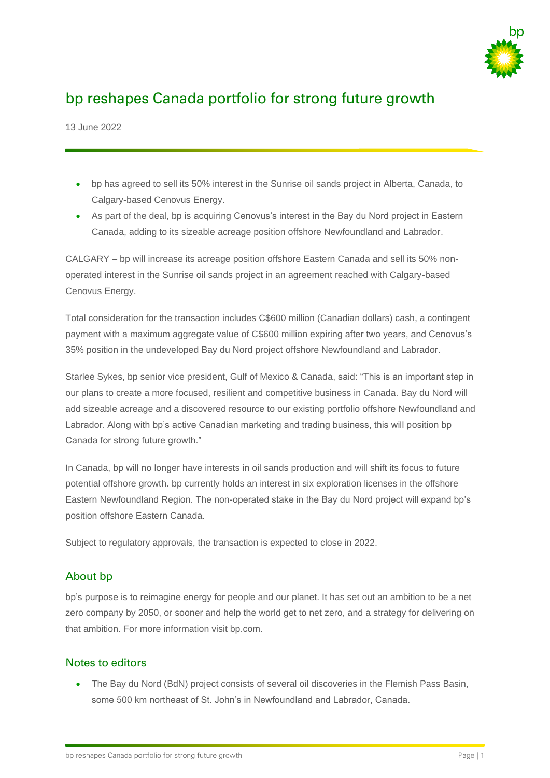

# bp reshapes Canada portfolio for strong future growth

13 June 2022

- bp has agreed to sell its 50% interest in the Sunrise oil sands project in Alberta, Canada, to Calgary-based Cenovus Energy.
- As part of the deal, bp is acquiring Cenovus's interest in the Bay du Nord project in Eastern Canada, adding to its sizeable acreage position offshore Newfoundland and Labrador.

CALGARY – bp will increase its acreage position offshore Eastern Canada and sell its 50% nonoperated interest in the Sunrise oil sands project in an agreement reached with Calgary-based Cenovus Energy.

Total consideration for the transaction includes C\$600 million (Canadian dollars) cash, a contingent payment with a maximum aggregate value of C\$600 million expiring after two years, and Cenovus's 35% position in the undeveloped Bay du Nord project offshore Newfoundland and Labrador.

Starlee Sykes, bp senior vice president, Gulf of Mexico & Canada, said: "This is an important step in our plans to create a more focused, resilient and competitive business in Canada. Bay du Nord will add sizeable acreage and a discovered resource to our existing portfolio offshore Newfoundland and Labrador. Along with bp's active Canadian marketing and trading business, this will position bp Canada for strong future growth."

In Canada, bp will no longer have interests in oil sands production and will shift its focus to future potential offshore growth. bp currently holds an interest in six exploration licenses in the offshore Eastern Newfoundland Region. The non-operated stake in the Bay du Nord project will expand bp's position offshore Eastern Canada.

Subject to regulatory approvals, the transaction is expected to close in 2022.

### About bp

bp's purpose is to reimagine energy for people and our planet. It has set out an ambition to be a net zero company by 2050, or sooner and help the world get to net zero, and a strategy for delivering on that ambition. For more information visit bp.com.

#### Notes to editors

• The Bay du Nord (BdN) project consists of several oil discoveries in the Flemish Pass Basin. some 500 km northeast of St. John's in Newfoundland and Labrador, Canada.